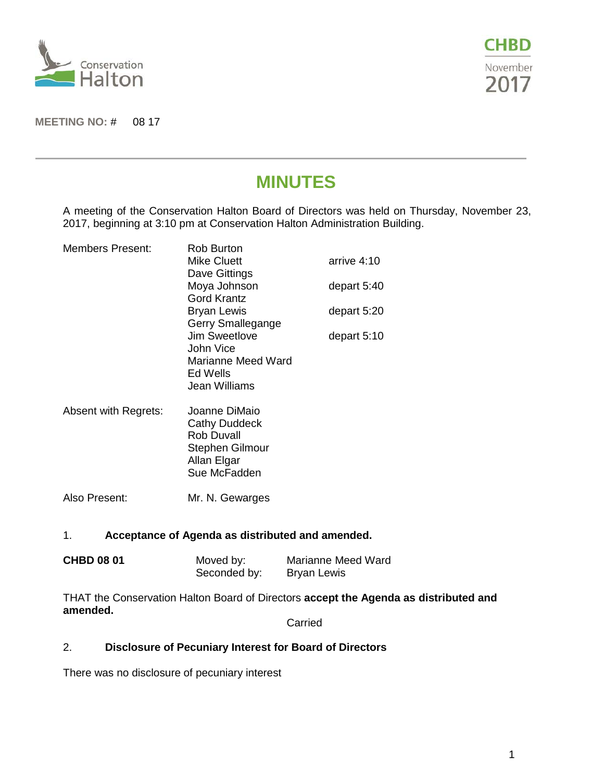



#### **MEETING NO:** # 08 17

# **MINUTES**

A meeting of the Conservation Halton Board of Directors was held on Thursday, November 23, 2017, beginning at 3:10 pm at Conservation Halton Administration Building.

| Members Present:     | Rob Burton<br><b>Mike Cluett</b><br>Dave Gittings<br>Moya Johnson<br>Gord Krantz<br><b>Bryan Lewis</b>       | arrive 4:10<br>depart 5:40<br>depart 5:20 |
|----------------------|--------------------------------------------------------------------------------------------------------------|-------------------------------------------|
|                      | Gerry Smallegange<br><b>Jim Sweetlove</b>                                                                    | depart 5:10                               |
|                      | John Vice<br>Marianne Meed Ward<br>Ed Wells<br>Jean Williams                                                 |                                           |
| Absent with Regrets: | Joanne DiMaio<br><b>Cathy Duddeck</b><br>Rob Duvall<br><b>Stephen Gilmour</b><br>Allan Elgar<br>Sue McFadden |                                           |
| Also Present:        | Mr. N. Gewarges                                                                                              |                                           |

## 1. **Acceptance of Agenda as distributed and amended.**

| <b>CHBD 08 01</b> | Moved by:    | Marianne Meed Ward |
|-------------------|--------------|--------------------|
|                   | Seconded by: | <b>Bryan Lewis</b> |

THAT the Conservation Halton Board of Directors **accept the Agenda as distributed and amended.**

Carried

# 2. **Disclosure of Pecuniary Interest for Board of Directors**

There was no disclosure of pecuniary interest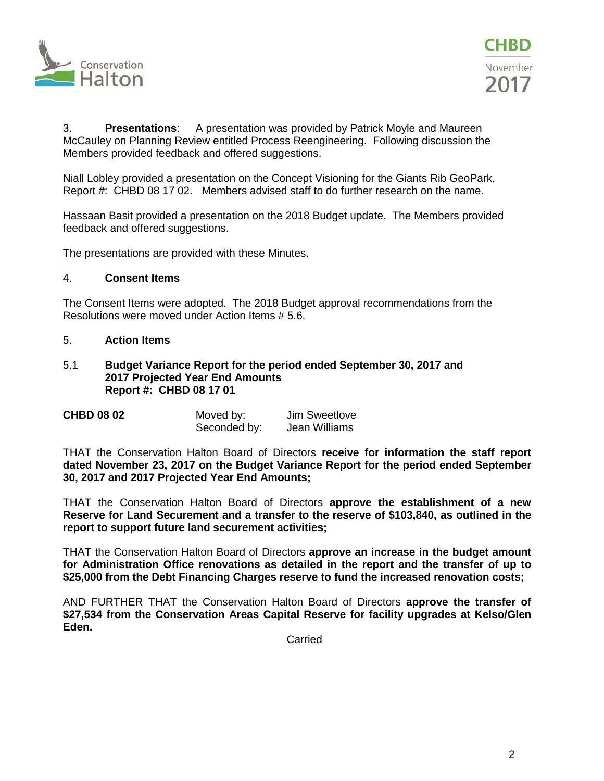



3. **Presentations**: A presentation was provided by Patrick Moyle and Maureen McCauley on Planning Review entitled Process Reengineering. Following discussion the Members provided feedback and offered suggestions.

Niall Lobley provided a presentation on the Concept Visioning for the Giants Rib GeoPark, Report #: CHBD 08 17 02. Members advised staff to do further research on the name.

Hassaan Basit provided a presentation on the 2018 Budget update. The Members provided feedback and offered suggestions.

The presentations are provided with these Minutes.

#### 4. **Consent Items**

The Consent Items were adopted. The 2018 Budget approval recommendations from the Resolutions were moved under Action Items # 5.6.

#### 5. **Action Items**

#### 5.1 **Budget Variance Report for the period ended September 30, 2017 and 2017 Projected Year End Amounts Report #: CHBD 08 17 01**

| <b>CHBD 08 02</b> | Moved by:    | Jim Sweetlove |
|-------------------|--------------|---------------|
|                   | Seconded by: | Jean Williams |

THAT the Conservation Halton Board of Directors **receive for information the staff report dated November 23, 2017 on the Budget Variance Report for the period ended September 30, 2017 and 2017 Projected Year End Amounts;**

THAT the Conservation Halton Board of Directors **approve the establishment of a new Reserve for Land Securement and a transfer to the reserve of \$103,840, as outlined in the report to support future land securement activities;** 

THAT the Conservation Halton Board of Directors **approve an increase in the budget amount for Administration Office renovations as detailed in the report and the transfer of up to \$25,000 from the Debt Financing Charges reserve to fund the increased renovation costs;**

AND FURTHER THAT the Conservation Halton Board of Directors **approve the transfer of \$27,534 from the Conservation Areas Capital Reserve for facility upgrades at Kelso/Glen Eden.**

Carried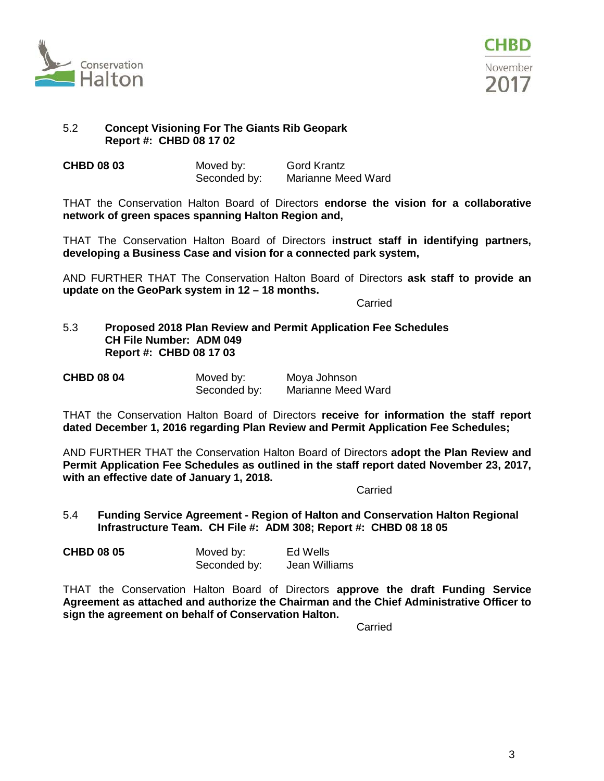



### 5.2 **Concept Visioning For The Giants Rib Geopark Report #: CHBD 08 17 02**

| <b>CHBD 08 03</b> | Moved by:    | <b>Gord Krantz</b> |
|-------------------|--------------|--------------------|
|                   | Seconded by: | Marianne Meed Ward |

THAT the Conservation Halton Board of Directors **endorse the vision for a collaborative network of green spaces spanning Halton Region and,**

THAT The Conservation Halton Board of Directors **instruct staff in identifying partners, developing a Business Case and vision for a connected park system,**

AND FURTHER THAT The Conservation Halton Board of Directors **ask staff to provide an update on the GeoPark system in 12 – 18 months.** 

**Carried** 

5.3 **Proposed 2018 Plan Review and Permit Application Fee Schedules CH File Number: ADM 049 Report #: CHBD 08 17 03**

| <b>CHBD 08 04</b> | Moved by:    | Moya Johnson       |
|-------------------|--------------|--------------------|
|                   | Seconded by: | Marianne Meed Ward |

THAT the Conservation Halton Board of Directors **receive for information the staff report dated December 1, 2016 regarding Plan Review and Permit Application Fee Schedules;**

AND FURTHER THAT the Conservation Halton Board of Directors **adopt the Plan Review and Permit Application Fee Schedules as outlined in the staff report dated November 23, 2017, with an effective date of January 1, 2018.**

Carried

5.4 **Funding Service Agreement - Region of Halton and Conservation Halton Regional Infrastructure Team. CH File #: ADM 308; Report #: CHBD 08 18 05**

| <b>CHBD 08 05</b> | Moved by:    | Ed Wells      |
|-------------------|--------------|---------------|
|                   | Seconded by: | Jean Williams |

THAT the Conservation Halton Board of Directors **approve the draft Funding Service Agreement as attached and authorize the Chairman and the Chief Administrative Officer to sign the agreement on behalf of Conservation Halton.**

Carried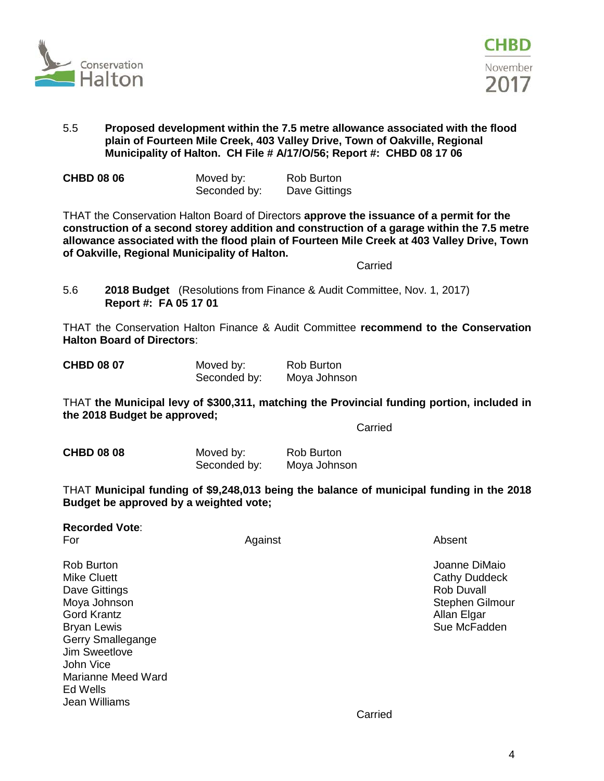



# 5.5 **Proposed development within the 7.5 metre allowance associated with the flood plain of Fourteen Mile Creek, 403 Valley Drive, Town of Oakville, Regional Municipality of Halton. CH File # A/17/O/56; Report #: CHBD 08 17 06**

| <b>CHBD 08 06</b> | Moved by:    | Rob Burton    |
|-------------------|--------------|---------------|
|                   | Seconded by: | Dave Gittings |

THAT the Conservation Halton Board of Directors **approve the issuance of a permit for the construction of a second storey addition and construction of a garage within the 7.5 metre allowance associated with the flood plain of Fourteen Mile Creek at 403 Valley Drive, Town of Oakville, Regional Municipality of Halton.**

Carried

5.6 **2018 Budget** (Resolutions from Finance & Audit Committee, Nov. 1, 2017) **Report #: FA 05 17 01**

THAT the Conservation Halton Finance & Audit Committee **recommend to the Conservation Halton Board of Directors**:

| <b>CHBD 08 07</b> | Moved by:    | Rob Burton   |
|-------------------|--------------|--------------|
|                   | Seconded by: | Moya Johnson |

THAT **the Municipal levy of \$300,311, matching the Provincial funding portion, included in the 2018 Budget be approved;**

Carried

**CHBD 08 08 Moved by:** Rob Burton Seconded by: Moya Johnson

THAT **Municipal funding of \$9,248,013 being the balance of municipal funding in the 2018 Budget be approved by a weighted vote;**

| <b>Recorded Vote:</b> |  |
|-----------------------|--|
|-----------------------|--|

For a controller controller and Against the Controller Absent

Rob Burton Joanne DiMaio Mike Cluett **Cathy Duddeck** Cathy Duddeck **Cathy Duddeck** Cathy Duddeck Dave Gittings **Rob Duvall** Moya Johnson **Stephen Gilmour** Stephen Gilmour Gord Krantz **Allan Elgar** Allan Elgar Allan Elgar Allan Elgar Allan Elgar Allan Elgar Allan Elgar Allan Elgar Allan Elgar Allan Elgar Allan Elgar Allan Elgar Allan Elgar Allan Elgar Allan Elgar Allan Elgar Allan Elgar Alla Brvan Lewis **Bruite Sue McFadden** Sue McFadden Sue McFadden Sue McFadden Sue McFadden Sue McFadden Sue McFadden Gerry Smallegange Jim Sweetlove John Vice Marianne Meed Ward Ed Wells Jean Williams

Carried